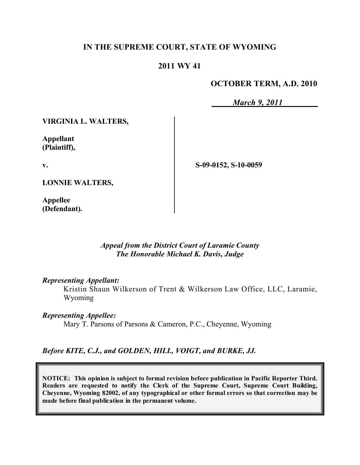## **IN THE SUPREME COURT, STATE OF WYOMING**

## **2011 WY 41**

## **OCTOBER TERM, A.D. 2010**

*March 9, 2011*

**VIRGINIA L. WALTERS,**

**Appellant (Plaintiff),**

**v.**

**S-09-0152, S-10-0059**

**LONNIE WALTERS,**

**Appellee (Defendant).**

#### *Appeal from the District Court of Laramie County The Honorable Michael K. Davis, Judge*

#### *Representing Appellant:*

Kristin Shaun Wilkerson of Trent & Wilkerson Law Office, LLC, Laramie, Wyoming

*Representing Appellee:*

Mary T. Parsons of Parsons & Cameron, P.C., Cheyenne, Wyoming

## *Before KITE, C.J., and GOLDEN, HILL, VOIGT, and BURKE, JJ.*

**NOTICE: This opinion is subject to formal revision before publication in Pacific Reporter Third. Readers are requested to notify the Clerk of the Supreme Court, Supreme Court Building, Cheyenne, Wyoming 82002, of any typographical or other formal errors so that correction may be made before final publication in the permanent volume.**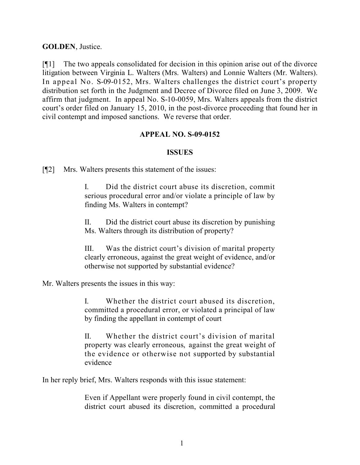#### **GOLDEN**, Justice.

[¶1] The two appeals consolidated for decision in this opinion arise out of the divorce litigation between Virginia L. Walters (Mrs. Walters) and Lonnie Walters (Mr. Walters). In appeal No. S-09-0152, Mrs. Walters challenges the district court's property distribution set forth in the Judgment and Decree of Divorce filed on June 3, 2009. We affirm that judgment. In appeal No. S-10-0059, Mrs. Walters appeals from the district court's order filed on January 15, 2010, in the post-divorce proceeding that found her in civil contempt and imposed sanctions. We reverse that order.

#### **APPEAL NO. S-09-0152**

#### **ISSUES**

[¶2] Mrs. Walters presents this statement of the issues:

I. Did the district court abuse its discretion, commit serious procedural error and/or violate a principle of law by finding Ms. Walters in contempt?

II. Did the district court abuse its discretion by punishing Ms. Walters through its distribution of property?

III. Was the district court's division of marital property clearly erroneous, against the great weight of evidence, and/or otherwise not supported by substantial evidence?

Mr. Walters presents the issues in this way:

I. Whether the district court abused its discretion, committed a procedural error, or violated a principal of law by finding the appellant in contempt of court

II. Whether the district court's division of marital property was clearly erroneous, against the great weight of the evidence or otherwise not supported by substantial evidence

In her reply brief, Mrs. Walters responds with this issue statement:

Even if Appellant were properly found in civil contempt, the district court abused its discretion, committed a procedural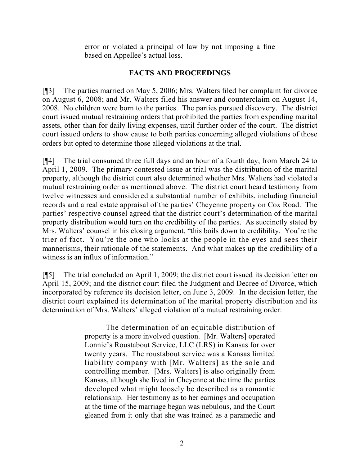error or violated a principal of law by not imposing a fine based on Appellee's actual loss.

# **FACTS AND PROCEEDINGS**

[¶3] The parties married on May 5, 2006; Mrs. Walters filed her complaint for divorce on August 6, 2008; and Mr. Walters filed his answer and counterclaim on August 14, 2008. No children were born to the parties. The parties pursued discovery. The district court issued mutual restraining orders that prohibited the parties from expending marital assets, other than for daily living expenses, until further order of the court. The district court issued orders to show cause to both parties concerning alleged violations of those orders but opted to determine those alleged violations at the trial.

[¶4] The trial consumed three full days and an hour of a fourth day, from March 24 to April 1, 2009. The primary contested issue at trial was the distribution of the marital property, although the district court also determined whether Mrs. Walters had violated a mutual restraining order as mentioned above. The district court heard testimony from twelve witnesses and considered a substantial number of exhibits, including financial records and a real estate appraisal of the parties' Cheyenne property on Cox Road. The parties' respective counsel agreed that the district court's determination of the marital property distribution would turn on the credibility of the parties. As succinctly stated by Mrs. Walters' counsel in his closing argument, "this boils down to credibility. You're the trier of fact. You're the one who looks at the people in the eyes and sees their mannerisms, their rationale of the statements. And what makes up the credibility of a witness is an influx of information."

[¶5] The trial concluded on April 1, 2009; the district court issued its decision letter on April 15, 2009; and the district court filed the Judgment and Decree of Divorce, which incorporated by reference its decision letter, on June 3, 2009. In the decision letter, the district court explained its determination of the marital property distribution and its determination of Mrs. Walters' alleged violation of a mutual restraining order:

> The determination of an equitable distribution of property is a more involved question. [Mr. Walters] operated Lonnie's Roustabout Service, LLC (LRS) in Kansas for over twenty years. The roustabout service was a Kansas limited liability company with [Mr. Walters] as the sole and controlling member. [Mrs. Walters] is also originally from Kansas, although she lived in Cheyenne at the time the parties developed what might loosely be described as a romantic relationship. Her testimony as to her earnings and occupation at the time of the marriage began was nebulous, and the Court gleaned from it only that she was trained as a paramedic and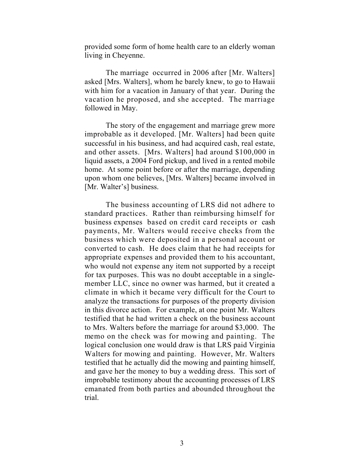provided some form of home health care to an elderly woman living in Cheyenne.

The marriage occurred in 2006 after [Mr. Walters] asked [Mrs. Walters], whom he barely knew, to go to Hawaii with him for a vacation in January of that year. During the vacation he proposed, and she accepted. The marriage followed in May.

The story of the engagement and marriage grew more improbable as it developed. [Mr. Walters] had been quite successful in his business, and had acquired cash, real estate, and other assets. [Mrs. Walters] had around \$100,000 in liquid assets, a 2004 Ford pickup, and lived in a rented mobile home. At some point before or after the marriage, depending upon whom one believes, [Mrs. Walters] became involved in [Mr. Walter's] business.

The business accounting of LRS did not adhere to standard practices. Rather than reimbursing himself for business expenses based on credit card receipts or cash payments, Mr. Walters would receive checks from the business which were deposited in a personal account or converted to cash. He does claim that he had receipts for appropriate expenses and provided them to his accountant, who would not expense any item not supported by a receipt for tax purposes. This was no doubt acceptable in a singlemember LLC, since no owner was harmed, but it created a climate in which it became very difficult for the Court to analyze the transactions for purposes of the property division in this divorce action. For example, at one point Mr. Walters testified that he had written a check on the business account to Mrs. Walters before the marriage for around \$3,000. The memo on the check was for mowing and painting. The logical conclusion one would draw is that LRS paid Virginia Walters for mowing and painting. However, Mr. Walters testified that he actually did the mowing and painting himself, and gave her the money to buy a wedding dress. This sort of improbable testimony about the accounting processes of LRS emanated from both parties and abounded throughout the trial.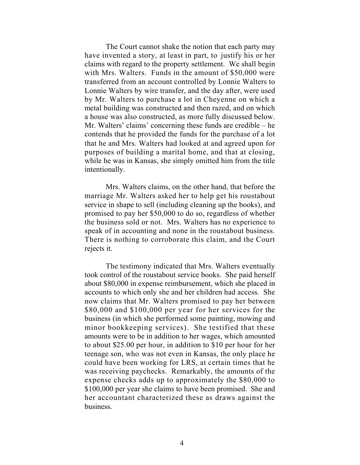The Court cannot shake the notion that each party may have invented a story, at least in part, to justify his or her claims with regard to the property settlement. We shall begin with Mrs. Walters. Funds in the amount of \$50,000 were transferred from an account controlled by Lonnie Walters to Lonnie Walters by wire transfer, and the day after, were used by Mr. Walters to purchase a lot in Cheyenne on which a metal building was constructed and then razed, and on which a house was also constructed, as more fully discussed below. Mr. Walters' claims' concerning these funds are credible – he contends that he provided the funds for the purchase of a lot that he and Mrs. Walters had looked at and agreed upon for purposes of building a marital home, and that at closing, while he was in Kansas, she simply omitted him from the title intentionally.

Mrs. Walters claims, on the other hand, that before the marriage Mr. Walters asked her to help get his roustabout service in shape to sell (including cleaning up the books), and promised to pay her \$50,000 to do so, regardless of whether the business sold or not. Mrs. Walters has no experience to speak of in accounting and none in the roustabout business. There is nothing to corroborate this claim, and the Court rejects it.

The testimony indicated that Mrs. Walters eventually took control of the roustabout service books. She paid herself about \$80,000 in expense reimbursement, which she placed in accounts to which only she and her children had access. She now claims that Mr. Walters promised to pay her between \$80,000 and \$100,000 per year for her services for the business (in which she performed some painting, mowing and minor bookkeeping services). She testified that these amounts were to be in addition to her wages, which amounted to about \$25.00 per hour, in addition to \$10 per hour for her teenage son, who was not even in Kansas, the only place he could have been working for LRS, at certain times that he was receiving paychecks. Remarkably, the amounts of the expense checks adds up to approximately the \$80,000 to \$100,000 per year she claims to have been promised. She and her accountant characterized these as draws against the business.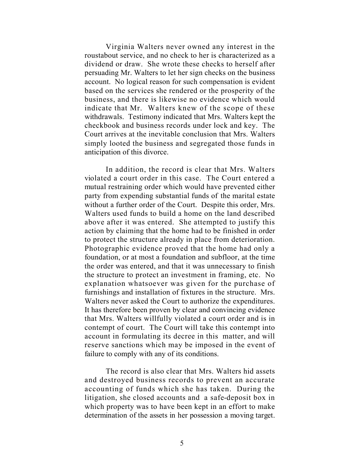Virginia Walters never owned any interest in the roustabout service, and no check to her is characterized as a dividend or draw. She wrote these checks to herself after persuading Mr. Walters to let her sign checks on the business account. No logical reason for such compensation is evident based on the services she rendered or the prosperity of the business, and there is likewise no evidence which would indicate that Mr. Walters knew of the scope of these withdrawals. Testimony indicated that Mrs. Walters kept the checkbook and business records under lock and key. The Court arrives at the inevitable conclusion that Mrs. Walters simply looted the business and segregated those funds in anticipation of this divorce.

In addition, the record is clear that Mrs. Walters violated a court order in this case. The Court entered a mutual restraining order which would have prevented either party from expending substantial funds of the marital estate without a further order of the Court. Despite this order, Mrs. Walters used funds to build a home on the land described above after it was entered. She attempted to justify this action by claiming that the home had to be finished in order to protect the structure already in place from deterioration. Photographic evidence proved that the home had only a foundation, or at most a foundation and subfloor, at the time the order was entered, and that it was unnecessary to finish the structure to protect an investment in framing, etc. No explanation whatsoever was given for the purchase of furnishings and installation of fixtures in the structure. Mrs. Walters never asked the Court to authorize the expenditures. It has therefore been proven by clear and convincing evidence that Mrs. Walters willfully violated a court order and is in contempt of court. The Court will take this contempt into account in formulating its decree in this matter, and will reserve sanctions which may be imposed in the event of failure to comply with any of its conditions.

The record is also clear that Mrs. Walters hid assets and destroyed business records to prevent an accurate accounting of funds which she has taken. During the litigation, she closed accounts and a safe-deposit box in which property was to have been kept in an effort to make determination of the assets in her possession a moving target.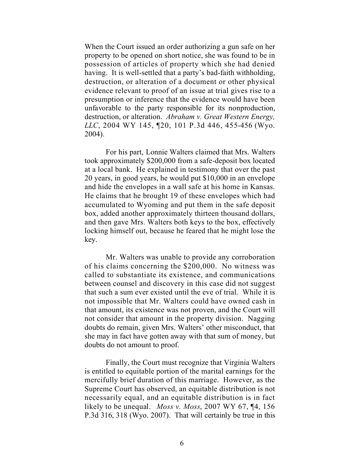When the Court issued an order authorizing a gun safe on her property to be opened on short notice, she was found to be in possession of articles of property which she had denied having. It is well-settled that a party's bad-faith withholding, destruction, or alteration of a document or other physical evidence relevant to proof of an issue at trial gives rise to a presumption or inference that the evidence would have been unfavorable to the party responsible for its nonproduction, destruction, or alteration. *Abraham v. Great Western Energy, LLC*, 2004 WY 145, ¶20, 101 P.3d 446, 455-456 (Wyo. 2004).

For his part, Lonnie Walters claimed that Mrs. Walters took approximately \$200,000 from a safe-deposit box located at a local bank. He explained in testimony that over the past 20 years, in good years, he would put \$10,000 in an envelope and hide the envelopes in a wall safe at his home in Kansas. He claims that he brought 19 of these envelopes which had accumulated to Wyoming and put them in the safe deposit box, added another approximately thirteen thousand dollars, and then gave Mrs. Walters both keys to the box, effectively locking himself out, because he feared that he might lose the key.

Mr. Walters was unable to provide any corroboration of his claims concerning the \$200,000. No witness was called to substantiate its existence, and communications between counsel and discovery in this case did not suggest that such a sum ever existed until the eve of trial. While it is not impossible that Mr. Walters could have owned cash in that amount, its existence was not proven, and the Court will not consider that amount in the property division. Nagging doubts do remain, given Mrs. Walters' other misconduct, that she may in fact have gotten away with that sum of money, but doubts do not amount to proof.

Finally, the Court must recognize that Virginia Walters is entitled to equitable portion of the marital earnings for the mercifully brief duration of this marriage. However, as the Supreme Court has observed, an equitable distribution is not necessarily equal, and an equitable distribution is in fact likely to be unequal. *Moss v. Moss*, 2007 WY 67, ¶4, 156 P.3d 316, 318 (Wyo. 2007). That will certainly be true in this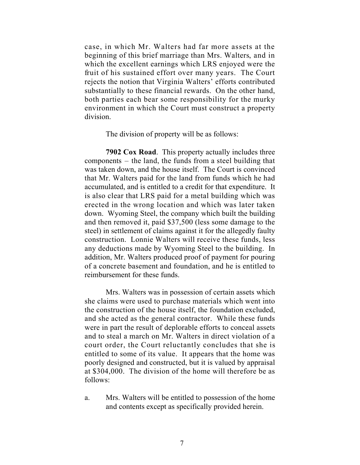case, in which Mr. Walters had far more assets at the beginning of this brief marriage than Mrs. Walters, and in which the excellent earnings which LRS enjoyed were the fruit of his sustained effort over many years. The Court rejects the notion that Virginia Walters' efforts contributed substantially to these financial rewards. On the other hand, both parties each bear some responsibility for the murky environment in which the Court must construct a property division.

The division of property will be as follows:

**7902 Cox Road**. This property actually includes three components – the land, the funds from a steel building that was taken down, and the house itself. The Court is convinced that Mr. Walters paid for the land from funds which he had accumulated, and is entitled to a credit for that expenditure. It is also clear that LRS paid for a metal building which was erected in the wrong location and which was later taken down. Wyoming Steel, the company which built the building and then removed it, paid \$37,500 (less some damage to the steel) in settlement of claims against it for the allegedly faulty construction. Lonnie Walters will receive these funds, less any deductions made by Wyoming Steel to the building. In addition, Mr. Walters produced proof of payment for pouring of a concrete basement and foundation, and he is entitled to reimbursement for these funds.

Mrs. Walters was in possession of certain assets which she claims were used to purchase materials which went into the construction of the house itself, the foundation excluded, and she acted as the general contractor. While these funds were in part the result of deplorable efforts to conceal assets and to steal a march on Mr. Walters in direct violation of a court order, the Court reluctantly concludes that she is entitled to some of its value. It appears that the home was poorly designed and constructed, but it is valued by appraisal at \$304,000. The division of the home will therefore be as follows:

a. Mrs. Walters will be entitled to possession of the home and contents except as specifically provided herein.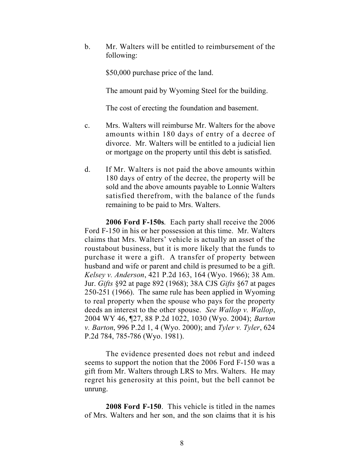b. Mr. Walters will be entitled to reimbursement of the following:

\$50,000 purchase price of the land.

The amount paid by Wyoming Steel for the building.

The cost of erecting the foundation and basement.

- c. Mrs. Walters will reimburse Mr. Walters for the above amounts within 180 days of entry of a decree of divorce. Mr. Walters will be entitled to a judicial lien or mortgage on the property until this debt is satisfied.
- d. If Mr. Walters is not paid the above amounts within 180 days of entry of the decree, the property will be sold and the above amounts payable to Lonnie Walters satisfied therefrom, with the balance of the funds remaining to be paid to Mrs. Walters.

**2006 Ford F-150s**. Each party shall receive the 2006 Ford F-150 in his or her possession at this time. Mr. Walters claims that Mrs. Walters' vehicle is actually an asset of the roustabout business, but it is more likely that the funds to purchase it were a gift. A transfer of property between husband and wife or parent and child is presumed to be a gift. *Kelsey v. Anderson*, 421 P.2d 163, 164 (Wyo. 1966); 38 Am. Jur. *Gifts* §92 at page 892 (1968); 38A CJS *Gifts* §67 at pages 250-251 (1966). The same rule has been applied in Wyoming to real property when the spouse who pays for the property deeds an interest to the other spouse. *See Wallop v. Wallop*, 2004 WY 46, ¶27, 88 P.2d 1022, 1030 (Wyo. 2004); *Barton v. Barton*, 996 P.2d 1, 4 (Wyo. 2000); and *Tyler v. Tyler*, 624 P.2d 784, 785-786 (Wyo. 1981).

The evidence presented does not rebut and indeed seems to support the notion that the 2006 Ford F-150 was a gift from Mr. Walters through LRS to Mrs. Walters. He may regret his generosity at this point, but the bell cannot be unrung.

**2008 Ford F-150**. This vehicle is titled in the names of Mrs. Walters and her son, and the son claims that it is his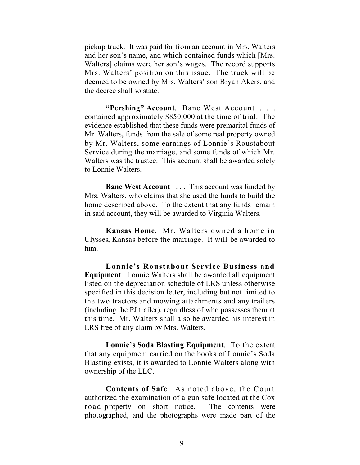pickup truck. It was paid for from an account in Mrs. Walters and her son's name, and which contained funds which [Mrs. Walters] claims were her son's wages. The record supports Mrs. Walters' position on this issue. The truck will be deemed to be owned by Mrs. Walters' son Bryan Akers, and the decree shall so state.

**"Pershing" Account**. Banc West Account . . . contained approximately \$850,000 at the time of trial. The evidence established that these funds were premarital funds of Mr. Walters, funds from the sale of some real property owned by Mr. Walters, some earnings of Lonnie's Roustabout Service during the marriage, and some funds of which Mr. Walters was the trustee. This account shall be awarded solely to Lonnie Walters.

**Banc West Account** . . . . This account was funded by Mrs. Walters, who claims that she used the funds to build the home described above. To the extent that any funds remain in said account, they will be awarded to Virginia Walters.

**Kansas Home**. Mr. Walters owned a home in Ulysses, Kansas before the marriage. It will be awarded to him.

**Lonnie's Roustabout Service Business and Equipment**. Lonnie Walters shall be awarded all equipment listed on the depreciation schedule of LRS unless otherwise specified in this decision letter, including but not limited to the two tractors and mowing attachments and any trailers (including the PJ trailer), regardless of who possesses them at this time. Mr. Walters shall also be awarded his interest in LRS free of any claim by Mrs. Walters.

**Lonnie's Soda Blasting Equipment**. To the extent that any equipment carried on the books of Lonnie's Soda Blasting exists, it is awarded to Lonnie Walters along with ownership of the LLC.

**Contents of Safe**. As noted above, the Court authorized the examination of a gun safe located at the Cox road property on short notice. The contents were photographed, and the photographs were made part of the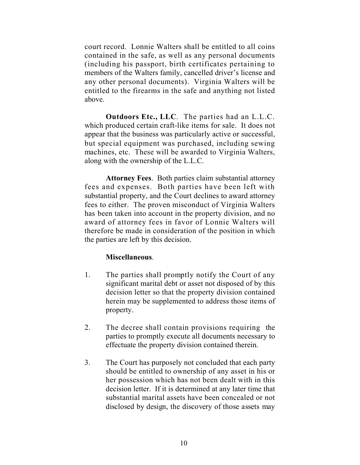court record. Lonnie Walters shall be entitled to all coins contained in the safe, as well as any personal documents (including his passport, birth certificates pertaining to members of the Walters family, cancelled driver's license and any other personal documents). Virginia Walters will be entitled to the firearms in the safe and anything not listed above.

**Outdoors Etc., LLC**. The parties had an L.L.C. which produced certain craft-like items for sale. It does not appear that the business was particularly active or successful, but special equipment was purchased, including sewing machines, etc. These will be awarded to Virginia Walters, along with the ownership of the L.L.C.

**Attorney Fees**. Both parties claim substantial attorney fees and expenses. Both parties have been left with substantial property, and the Court declines to award attorney fees to either. The proven misconduct of Virginia Walters has been taken into account in the property division, and no award of attorney fees in favor of Lonnie Walters will therefore be made in consideration of the position in which the parties are left by this decision.

## **Miscellaneous**.

- 1. The parties shall promptly notify the Court of any significant marital debt or asset not disposed of by this decision letter so that the property division contained herein may be supplemented to address those items of property.
- 2. The decree shall contain provisions requiring the parties to promptly execute all documents necessary to effectuate the property division contained therein.
- 3. The Court has purposely not concluded that each party should be entitled to ownership of any asset in his or her possession which has not been dealt with in this decision letter. If it is determined at any later time that substantial marital assets have been concealed or not disclosed by design, the discovery of those assets may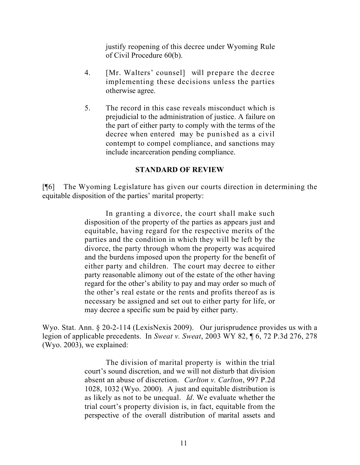justify reopening of this decree under Wyoming Rule of Civil Procedure 60(b).

- 4. [Mr. Walters' counsel] will prepare the decree implementing these decisions unless the parties otherwise agree.
- 5. The record in this case reveals misconduct which is prejudicial to the administration of justice. A failure on the part of either party to comply with the terms of the decree when entered may be punished as a civil contempt to compel compliance, and sanctions may include incarceration pending compliance.

## **STANDARD OF REVIEW**

[¶6] The Wyoming Legislature has given our courts direction in determining the equitable disposition of the parties' marital property:

> In granting a divorce, the court shall make such disposition of the property of the parties as appears just and equitable, having regard for the respective merits of the parties and the condition in which they will be left by the divorce, the party through whom the property was acquired and the burdens imposed upon the property for the benefit of either party and children. The court may decree to either party reasonable alimony out of the estate of the other having regard for the other's ability to pay and may order so much of the other's real estate or the rents and profits thereof as is necessary be assigned and set out to either party for life, or may decree a specific sum be paid by either party.

Wyo. Stat. Ann. § 20-2-114 (LexisNexis 2009). Our jurisprudence provides us with a legion of applicable precedents. In *Sweat v. Sweat*, 2003 WY 82, ¶ 6, 72 P.3d 276, 278 (Wyo. 2003), we explained:

> The division of marital property is within the trial court's sound discretion, and we will not disturb that division absent an abuse of discretion. *Carlton v. Carlton*, 997 P.2d 1028, 1032 (Wyo. 2000). A just and equitable distribution is as likely as not to be unequal. *Id*. We evaluate whether the trial court's property division is, in fact, equitable from the perspective of the overall distribution of marital assets and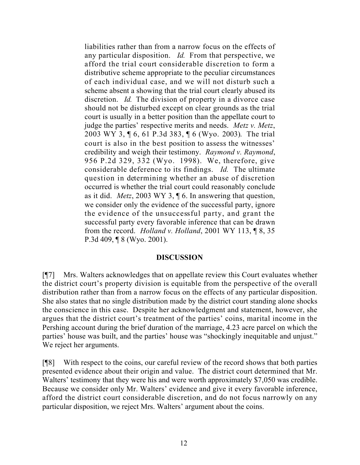liabilities rather than from a narrow focus on the effects of any particular disposition. *Id.* From that perspective, we afford the trial court considerable discretion to form a distributive scheme appropriate to the peculiar circumstances of each individual case, and we will not disturb such a scheme absent a showing that the trial court clearly abused its discretion. *Id.* The division of property in a divorce case should not be disturbed except on clear grounds as the trial court is usually in a better position than the appellate court to judge the parties' respective merits and needs. *Metz v. Metz*, 2003 WY 3, ¶ 6, 61 P.3d 383, ¶ 6 (Wyo. 2003). The trial court is also in the best position to assess the witnesses' credibility and weigh their testimony. *Raymond v. Raymond*, 956 P.2d 329, 332 (Wyo. 1998). We, therefore, give considerable deference to its findings. *Id.* The ultimate question in determining whether an abuse of discretion occurred is whether the trial court could reasonably conclude as it did. *Metz*, 2003 WY 3, ¶ 6. In answering that question, we consider only the evidence of the successful party, ignore the evidence of the unsuccessful party, and grant the successful party every favorable inference that can be drawn from the record. *Holland v. Holland*, 2001 WY 113, ¶ 8, 35 P.3d 409, ¶ 8 (Wyo. 2001).

#### **DISCUSSION**

[¶7] Mrs. Walters acknowledges that on appellate review this Court evaluates whether the district court's property division is equitable from the perspective of the overall distribution rather than from a narrow focus on the effects of any particular disposition. She also states that no single distribution made by the district court standing alone shocks the conscience in this case. Despite her acknowledgment and statement, however, she argues that the district court's treatment of the parties' coins, marital income in the Pershing account during the brief duration of the marriage, 4.23 acre parcel on which the parties' house was built, and the parties' house was "shockingly inequitable and unjust." We reject her arguments.

[¶8] With respect to the coins, our careful review of the record shows that both parties presented evidence about their origin and value. The district court determined that Mr. Walters' testimony that they were his and were worth approximately \$7,050 was credible. Because we consider only Mr. Walters' evidence and give it every favorable inference, afford the district court considerable discretion, and do not focus narrowly on any particular disposition, we reject Mrs. Walters' argument about the coins.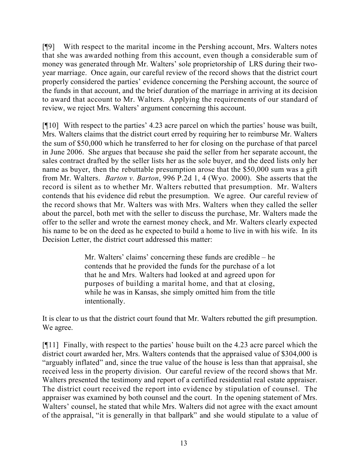[¶9] With respect to the marital income in the Pershing account, Mrs. Walters notes that she was awarded nothing from this account, even though a considerable sum of money was generated through Mr. Walters' sole proprietorship of LRS during their twoyear marriage. Once again, our careful review of the record shows that the district court properly considered the parties' evidence concerning the Pershing account, the source of the funds in that account, and the brief duration of the marriage in arriving at its decision to award that account to Mr. Walters. Applying the requirements of our standard of review, we reject Mrs. Walters' argument concerning this account.

[¶10] With respect to the parties' 4.23 acre parcel on which the parties' house was built, Mrs. Walters claims that the district court erred by requiring her to reimburse Mr. Walters the sum of \$50,000 which he transferred to her for closing on the purchase of that parcel in June 2006. She argues that because she paid the seller from her separate account, the sales contract drafted by the seller lists her as the sole buyer, and the deed lists only her name as buyer, then the rebuttable presumption arose that the \$50,000 sum was a gift from Mr. Walters. *Barton v. Barton*, 996 P.2d 1, 4 (Wyo. 2000). She asserts that the record is silent as to whether Mr. Walters rebutted that presumption. Mr. Walters contends that his evidence did rebut the presumption. We agree. Our careful review of the record shows that Mr. Walters was with Mrs. Walters when they called the seller about the parcel, both met with the seller to discuss the purchase, Mr. Walters made the offer to the seller and wrote the earnest money check, and Mr. Walters clearly expected his name to be on the deed as he expected to build a home to live in with his wife. In its Decision Letter, the district court addressed this matter:

> Mr. Walters' claims' concerning these funds are credible – he contends that he provided the funds for the purchase of a lot that he and Mrs. Walters had looked at and agreed upon for purposes of building a marital home, and that at closing, while he was in Kansas, she simply omitted him from the title intentionally.

It is clear to us that the district court found that Mr. Walters rebutted the gift presumption. We agree.

[¶11] Finally, with respect to the parties' house built on the 4.23 acre parcel which the district court awarded her, Mrs. Walters contends that the appraised value of \$304,000 is "arguably inflated" and, since the true value of the house is less than that appraisal, she received less in the property division. Our careful review of the record shows that Mr. Walters presented the testimony and report of a certified residential real estate appraiser. The district court received the report into evidence by stipulation of counsel. The appraiser was examined by both counsel and the court. In the opening statement of Mrs. Walters' counsel, he stated that while Mrs. Walters did not agree with the exact amount of the appraisal, "it is generally in that ballpark" and she would stipulate to a value of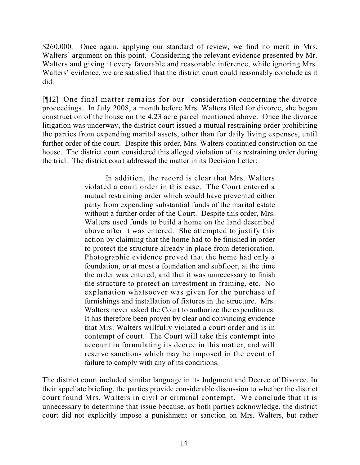\$260,000. Once again, applying our standard of review, we find no merit in Mrs. Walters' argument on this point. Considering the relevant evidence presented by Mr. Walters and giving it every favorable and reasonable inference, while ignoring Mrs. Walters' evidence, we are satisfied that the district court could reasonably conclude as it did.

[¶12] One final matter remains for our consideration concerning the divorce proceedings. In July 2008, a month before Mrs. Walters filed for divorce, she began construction of the house on the 4.23 acre parcel mentioned above. Once the divorce litigation was underway, the district court issued a mutual restraining order prohibiting the parties from expending marital assets, other than for daily living expenses, until further order of the court. Despite this order, Mrs. Walters continued construction on the house. The district court considered this alleged violation of its restraining order during the trial. The district court addressed the matter in its Decision Letter:

> In addition, the record is clear that Mrs. Walters violated a court order in this case. The Court entered a mutual restraining order which would have prevented either party from expending substantial funds of the marital estate without a further order of the Court. Despite this order, Mrs. Walters used funds to build a home on the land described above after it was entered. She attempted to justify this action by claiming that the home had to be finished in order to protect the structure already in place from deterioration. Photographic evidence proved that the home had only a foundation, or at most a foundation and subfloor, at the time the order was entered, and that it was unnecessary to finish the structure to protect an investment in framing, etc. No explanation whatsoever was given for the purchase of furnishings and installation of fixtures in the structure. Mrs. Walters never asked the Court to authorize the expenditures. It has therefore been proven by clear and convincing evidence that Mrs. Walters willfully violated a court order and is in contempt of court. The Court will take this contempt into account in formulating its decree in this matter, and will reserve sanctions which may be imposed in the event of failure to comply with any of its conditions.

The district court included similar language in its Judgment and Decree of Divorce. In their appellate briefing, the parties provide considerable discussion to whether the district court found Mrs. Walters in civil or criminal contempt. We conclude that it is unnecessary to determine that issue because, as both parties acknowledge, the district court did not explicitly impose a punishment or sanction on Mrs. Walters, but rather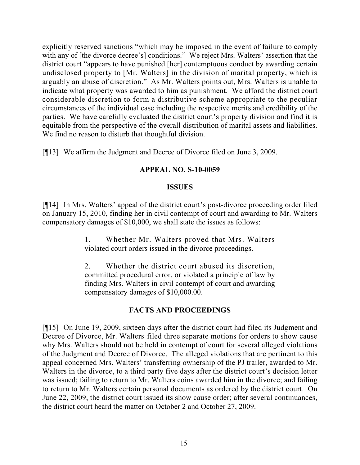explicitly reserved sanctions "which may be imposed in the event of failure to comply with any of [the divorce decree's] conditions." We reject Mrs. Walters' assertion that the district court "appears to have punished [her] contemptuous conduct by awarding certain undisclosed property to [Mr. Walters] in the division of marital property, which is arguably an abuse of discretion." As Mr. Walters points out, Mrs. Walters is unable to indicate what property was awarded to him as punishment. We afford the district court considerable discretion to form a distributive scheme appropriate to the peculiar circumstances of the individual case including the respective merits and credibility of the parties. We have carefully evaluated the district court's property division and find it is equitable from the perspective of the overall distribution of marital assets and liabilities. We find no reason to disturb that thoughtful division.

[¶13] We affirm the Judgment and Decree of Divorce filed on June 3, 2009.

## **APPEAL NO. S-10-0059**

## **ISSUES**

[¶14] In Mrs. Walters' appeal of the district court's post-divorce proceeding order filed on January 15, 2010, finding her in civil contempt of court and awarding to Mr. Walters compensatory damages of \$10,000, we shall state the issues as follows:

> 1. Whether Mr. Walters proved that Mrs. Walters violated court orders issued in the divorce proceedings.

> 2. Whether the district court abused its discretion, committed procedural error, or violated a principle of law by finding Mrs. Walters in civil contempt of court and awarding compensatory damages of \$10,000.00.

# **FACTS AND PROCEEDINGS**

[¶15] On June 19, 2009, sixteen days after the district court had filed its Judgment and Decree of Divorce, Mr. Walters filed three separate motions for orders to show cause why Mrs. Walters should not be held in contempt of court for several alleged violations of the Judgment and Decree of Divorce. The alleged violations that are pertinent to this appeal concerned Mrs. Walters' transferring ownership of the PJ trailer, awarded to Mr. Walters in the divorce, to a third party five days after the district court's decision letter was issued; failing to return to Mr. Walters coins awarded him in the divorce; and failing to return to Mr. Walters certain personal documents as ordered by the district court. On June 22, 2009, the district court issued its show cause order; after several continuances, the district court heard the matter on October 2 and October 27, 2009.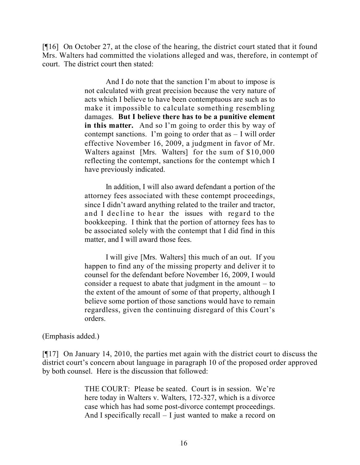[¶16] On October 27, at the close of the hearing, the district court stated that it found Mrs. Walters had committed the violations alleged and was, therefore, in contempt of court. The district court then stated:

> And I do note that the sanction I'm about to impose is not calculated with great precision because the very nature of acts which I believe to have been contemptuous are such as to make it impossible to calculate something resembling damages. **But I believe there has to be a punitive element in this matter.** And so I'm going to order this by way of contempt sanctions. I'm going to order that  $as - I$  will order effective November 16, 2009, a judgment in favor of Mr. Walters against [Mrs. Walters] for the sum of \$10,000 reflecting the contempt, sanctions for the contempt which I have previously indicated.

> In addition, I will also award defendant a portion of the attorney fees associated with these contempt proceedings, since I didn't award anything related to the trailer and tractor, and I decline to hear the issues with regard to the bookkeeping. I think that the portion of attorney fees has to be associated solely with the contempt that I did find in this matter, and I will award those fees.

> I will give [Mrs. Walters] this much of an out. If you happen to find any of the missing property and deliver it to counsel for the defendant before November 16, 2009, I would consider a request to abate that judgment in the amount – to the extent of the amount of some of that property, although I believe some portion of those sanctions would have to remain regardless, given the continuing disregard of this Court's orders.

#### (Emphasis added.)

[¶17] On January 14, 2010, the parties met again with the district court to discuss the district court's concern about language in paragraph 10 of the proposed order approved by both counsel. Here is the discussion that followed:

> THE COURT: Please be seated. Court is in session. We're here today in Walters v. Walters, 172-327, which is a divorce case which has had some post-divorce contempt proceedings. And I specifically recall – I just wanted to make a record on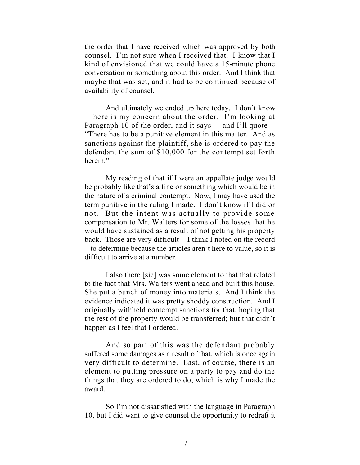the order that I have received which was approved by both counsel. I'm not sure when I received that. I know that I kind of envisioned that we could have a 15-minute phone conversation or something about this order. And I think that maybe that was set, and it had to be continued because of availability of counsel.

And ultimately we ended up here today. I don't know – here is my concern about the order. I'm looking at Paragraph 10 of the order, and it says  $-$  and I'll quote  $-$ "There has to be a punitive element in this matter. And as sanctions against the plaintiff, she is ordered to pay the defendant the sum of \$10,000 for the contempt set forth herein."

My reading of that if I were an appellate judge would be probably like that's a fine or something which would be in the nature of a criminal contempt. Now, I may have used the term punitive in the ruling I made. I don't know if I did or not. But the intent was actually to provide some compensation to Mr. Walters for some of the losses that he would have sustained as a result of not getting his property back. Those are very difficult – I think I noted on the record – to determine because the articles aren't here to value, so it is difficult to arrive at a number.

I also there [sic] was some element to that that related to the fact that Mrs. Walters went ahead and built this house. She put a bunch of money into materials. And I think the evidence indicated it was pretty shoddy construction. And I originally withheld contempt sanctions for that, hoping that the rest of the property would be transferred; but that didn't happen as I feel that I ordered.

And so part of this was the defendant probably suffered some damages as a result of that, which is once again very difficult to determine. Last, of course, there is an element to putting pressure on a party to pay and do the things that they are ordered to do, which is why I made the award.

So I'm not dissatisfied with the language in Paragraph 10, but I did want to give counsel the opportunity to redraft it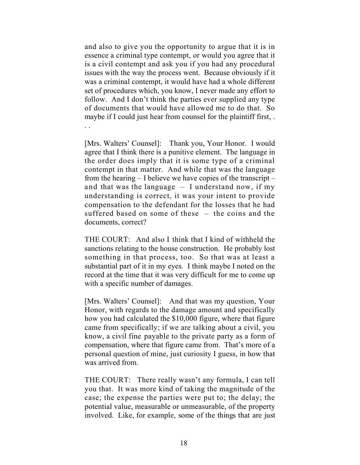and also to give you the opportunity to argue that it is in essence a criminal type contempt, or would you agree that it is a civil contempt and ask you if you had any procedural issues with the way the process went. Because obviously if it was a criminal contempt, it would have had a whole different set of procedures which, you know, I never made any effort to follow. And I don't think the parties ever supplied any type of documents that would have allowed me to do that. So maybe if I could just hear from counsel for the plaintiff first,.

. .

[Mrs. Walters' Counsel]: Thank you, Your Honor. I would agree that I think there is a punitive element. The language in the order does imply that it is some type of a criminal contempt in that matter. And while that was the language from the hearing – I believe we have copies of the transcript – and that was the language – I understand now, if my understanding is correct, it was your intent to provide compensation to the defendant for the losses that he had suffered based on some of these – the coins and the documents, correct?

THE COURT: And also I think that I kind of withheld the sanctions relating to the house construction. He probably lost something in that process, too. So that was at least a substantial part of it in my eyes. I think maybe I noted on the record at the time that it was very difficult for me to come up with a specific number of damages.

[Mrs. Walters' Counsel]: And that was my question, Your Honor, with regards to the damage amount and specifically how you had calculated the \$10,000 figure, where that figure came from specifically; if we are talking about a civil, you know, a civil fine payable to the private party as a form of compensation, where that figure came from. That's more of a personal question of mine, just curiosity I guess, in how that was arrived from.

THE COURT: There really wasn't any formula, I can tell you that. It was more kind of taking the magnitude of the case; the expense the parties were put to; the delay; the potential value, measurable or unmeasurable, of the property involved. Like, for example, some of the things that are just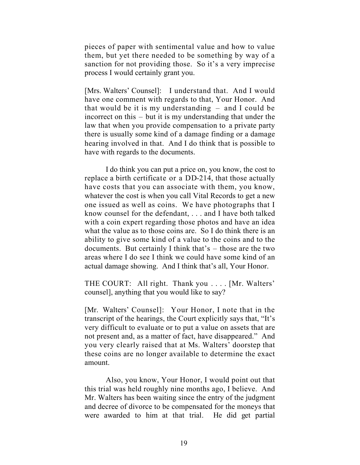pieces of paper with sentimental value and how to value them, but yet there needed to be something by way of a sanction for not providing those. So it's a very imprecise process I would certainly grant you.

[Mrs. Walters' Counsel]: I understand that. And I would have one comment with regards to that, Your Honor. And that would be it is my understanding – and I could be incorrect on this – but it is my understanding that under the law that when you provide compensation to a private party there is usually some kind of a damage finding or a damage hearing involved in that. And I do think that is possible to have with regards to the documents.

I do think you can put a price on, you know, the cost to replace a birth certificate or a DD-214, that those actually have costs that you can associate with them, you know, whatever the cost is when you call Vital Records to get a new one issued as well as coins. We have photographs that I know counsel for the defendant, . . . and I have both talked with a coin expert regarding those photos and have an idea what the value as to those coins are. So I do think there is an ability to give some kind of a value to the coins and to the documents. But certainly I think that's – those are the two areas where I do see I think we could have some kind of an actual damage showing. And I think that's all, Your Honor.

THE COURT: All right. Thank you . . . . [Mr. Walters' counsel], anything that you would like to say?

[Mr. Walters' Counsel]: Your Honor, I note that in the transcript of the hearings, the Court explicitly says that, "It's very difficult to evaluate or to put a value on assets that are not present and, as a matter of fact, have disappeared." And you very clearly raised that at Ms. Walters' doorstep that these coins are no longer available to determine the exact amount.

Also, you know, Your Honor, I would point out that this trial was held roughly nine months ago, I believe. And Mr. Walters has been waiting since the entry of the judgment and decree of divorce to be compensated for the moneys that were awarded to him at that trial. He did get partial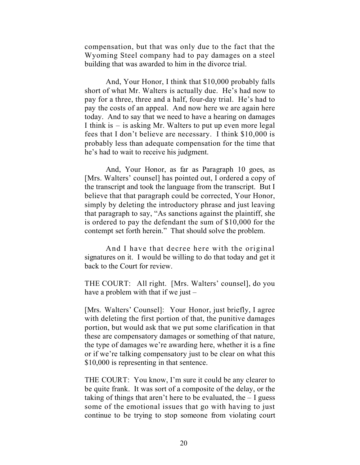compensation, but that was only due to the fact that the Wyoming Steel company had to pay damages on a steel building that was awarded to him in the divorce trial.

And, Your Honor, I think that \$10,000 probably falls short of what Mr. Walters is actually due. He's had now to pay for a three, three and a half, four-day trial. He's had to pay the costs of an appeal. And now here we are again here today. And to say that we need to have a hearing on damages I think is – is asking Mr. Walters to put up even more legal fees that I don't believe are necessary. I think \$10,000 is probably less than adequate compensation for the time that he's had to wait to receive his judgment.

And, Your Honor, as far as Paragraph 10 goes, as [Mrs. Walters' counsel] has pointed out, I ordered a copy of the transcript and took the language from the transcript. But I believe that that paragraph could be corrected, Your Honor, simply by deleting the introductory phrase and just leaving that paragraph to say, "As sanctions against the plaintiff, she is ordered to pay the defendant the sum of \$10,000 for the contempt set forth herein." That should solve the problem.

And I have that decree here with the original signatures on it. I would be willing to do that today and get it back to the Court for review.

THE COURT: All right. [Mrs. Walters' counsel], do you have a problem with that if we just –

[Mrs. Walters' Counsel]: Your Honor, just briefly, I agree with deleting the first portion of that, the punitive damages portion, but would ask that we put some clarification in that these are compensatory damages or something of that nature, the type of damages we're awarding here, whether it is a fine or if we're talking compensatory just to be clear on what this \$10,000 is representing in that sentence.

THE COURT: You know, I'm sure it could be any clearer to be quite frank. It was sort of a composite of the delay, or the taking of things that aren't here to be evaluated, the  $-1$  guess some of the emotional issues that go with having to just continue to be trying to stop someone from violating court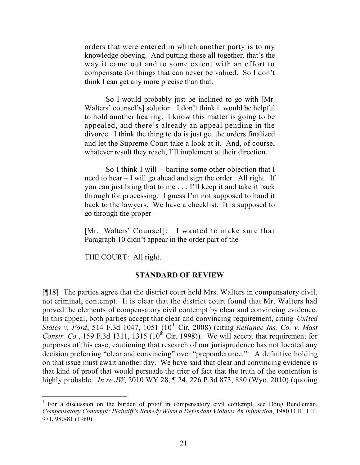orders that were entered in which another party is to my knowledge obeying. And putting those all together, that's the way it came out and to some extent with an effort to compensate for things that can never be valued. So I don't think I can get any more precise than that.

So I would probably just be inclined to go with [Mr. Walters' counsel's] solution. I don't think it would be helpful to hold another hearing. I know this matter is going to be appealed, and there's already an appeal pending in the divorce. I think the thing to do is just get the orders finalized and let the Supreme Court take a look at it. And, of course, whatever result they reach, I'll implement at their direction.

So I think I will – barring some other objection that I need to hear – I will go ahead and sign the order. All right. If you can just bring that to me . . . I'll keep it and take it back through for processing. I guess I'm not supposed to hand it back to the lawyers. We have a checklist. It is supposed to go through the proper –

[Mr. Walters' Counsel]: I wanted to make sure that Paragraph 10 didn't appear in the order part of the –

THE COURT: All right.

## **STANDARD OF REVIEW**

[¶18] The parties agree that the district court held Mrs. Walters in compensatory civil, not criminal, contempt. It is clear that the district court found that Mr. Walters had proved the elements of compensatory civil contempt by clear and convincing evidence. In this appeal, both parties accept that clear and convincing requirement, citing *United States v. Ford*, 514 F.3d 1047, 1051 (10 th Cir. 2008) (citing *Reliance Ins. Co. v. Mast Constr. Co.*, 159 F.3d 1311, 1315 (10<sup>th</sup> Cir. 1998)). We will accept that requirement for purposes of this case, cautioning that research of our jurisprudence has not located any decision preferring "clear and convincing" over "preponderance."<sup>1</sup> A definitive holding on that issue must await another day. We have said that clear and convincing evidence is that kind of proof that would persuade the trier of fact that the truth of the contention is highly probable. *In re JW*, 2010 WY 28, ¶ 24, 226 P.3d 873, 880 (Wyo. 2010) (quoting

<sup>&</sup>lt;sup>1</sup> For a discussion on the burden of proof in compensatory civil contempt, see Doug Rendleman, *Compensatory Contempt: Plaintiff's Remedy When a Defendant Violates An Injunction*, 1980 U.Ill. L.F. 971, 980-81 (1980).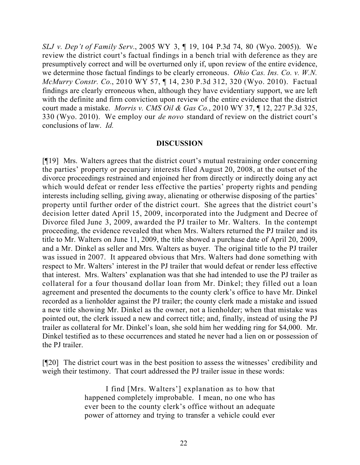*SLJ v. Dep't of Family Serv.*, 2005 WY 3, ¶ 19, 104 P.3d 74, 80 (Wyo. 2005)). We review the district court's factual findings in a bench trial with deference as they are presumptively correct and will be overturned only if, upon review of the entire evidence, we determine those factual findings to be clearly erroneous. *Ohio Cas. Ins. Co. v. W.N. McMurry Constr. Co.*, 2010 WY 57, ¶ 14, 230 P.3d 312, 320 (Wyo. 2010). Factual findings are clearly erroneous when, although they have evidentiary support, we are left with the definite and firm conviction upon review of the entire evidence that the district court made a mistake. *Morris v. CMS Oil & Gas Co.*, 2010 WY 37, ¶ 12, 227 P.3d 325, 330 (Wyo. 2010). We employ our *de novo* standard of review on the district court's conclusions of law. *Id.*

#### **DISCUSSION**

[¶19] Mrs. Walters agrees that the district court's mutual restraining order concerning the parties' property or pecuniary interests filed August 20, 2008, at the outset of the divorce proceedings restrained and enjoined her from directly or indirectly doing any act which would defeat or render less effective the parties' property rights and pending interests including selling, giving away, alienating or otherwise disposing of the parties' property until further order of the district court. She agrees that the district court's decision letter dated April 15, 2009, incorporated into the Judgment and Decree of Divorce filed June 3, 2009, awarded the PJ trailer to Mr. Walters. In the contempt proceeding, the evidence revealed that when Mrs. Walters returned the PJ trailer and its title to Mr. Walters on June 11, 2009, the title showed a purchase date of April 20, 2009, and a Mr. Dinkel as seller and Mrs. Walters as buyer. The original title to the PJ trailer was issued in 2007. It appeared obvious that Mrs. Walters had done something with respect to Mr. Walters' interest in the PJ trailer that would defeat or render less effective that interest. Mrs. Walters' explanation was that she had intended to use the PJ trailer as collateral for a four thousand dollar loan from Mr. Dinkel; they filled out a loan agreement and presented the documents to the county clerk's office to have Mr. Dinkel recorded as a lienholder against the PJ trailer; the county clerk made a mistake and issued a new title showing Mr. Dinkel as the owner, not a lienholder; when that mistake was pointed out, the clerk issued a new and correct title; and, finally, instead of using the PJ trailer as collateral for Mr. Dinkel's loan, she sold him her wedding ring for \$4,000. Mr. Dinkel testified as to these occurrences and stated he never had a lien on or possession of the PJ trailer.

[¶20] The district court was in the best position to assess the witnesses' credibility and weigh their testimony. That court addressed the PJ trailer issue in these words:

> I find [Mrs. Walters'] explanation as to how that happened completely improbable. I mean, no one who has ever been to the county clerk's office without an adequate power of attorney and trying to transfer a vehicle could ever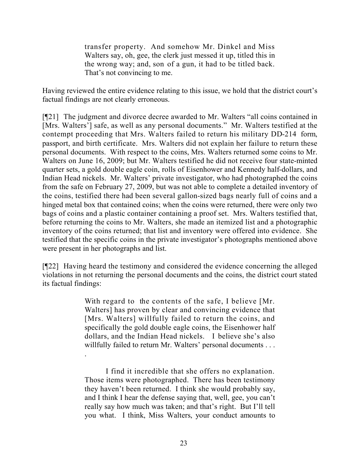transfer property. And somehow Mr. Dinkel and Miss Walters say, oh, gee, the clerk just messed it up, titled this in the wrong way; and, son of a gun, it had to be titled back. That's not convincing to me.

Having reviewed the entire evidence relating to this issue, we hold that the district court's factual findings are not clearly erroneous.

[¶21] The judgment and divorce decree awarded to Mr. Walters "all coins contained in [Mrs. Walters'] safe, as well as any personal documents." Mr. Walters testified at the contempt proceeding that Mrs. Walters failed to return his military DD-214 form, passport, and birth certificate. Mrs. Walters did not explain her failure to return these personal documents. With respect to the coins, Mrs. Walters returned some coins to Mr. Walters on June 16, 2009; but Mr. Walters testified he did not receive four state-minted quarter sets, a gold double eagle coin, rolls of Eisenhower and Kennedy half-dollars, and Indian Head nickels. Mr. Walters' private investigator, who had photographed the coins from the safe on February 27, 2009, but was not able to complete a detailed inventory of the coins, testified there had been several gallon-sized bags nearly full of coins and a hinged metal box that contained coins; when the coins were returned, there were only two bags of coins and a plastic container containing a proof set. Mrs. Walters testified that, before returning the coins to Mr. Walters, she made an itemized list and a photographic inventory of the coins returned; that list and inventory were offered into evidence. She testified that the specific coins in the private investigator's photographs mentioned above were present in her photographs and list.

[¶22] Having heard the testimony and considered the evidence concerning the alleged violations in not returning the personal documents and the coins, the district court stated its factual findings:

> With regard to the contents of the safe, I believe [Mr.] Walters] has proven by clear and convincing evidence that [Mrs. Walters] willfully failed to return the coins, and specifically the gold double eagle coins, the Eisenhower half dollars, and the Indian Head nickels. I believe she's also willfully failed to return Mr. Walters' personal documents . . . .

> I find it incredible that she offers no explanation. Those items were photographed. There has been testimony they haven't been returned. I think she would probably say, and I think I hear the defense saying that, well, gee, you can't really say how much was taken; and that's right. But I'll tell you what. I think, Miss Walters, your conduct amounts to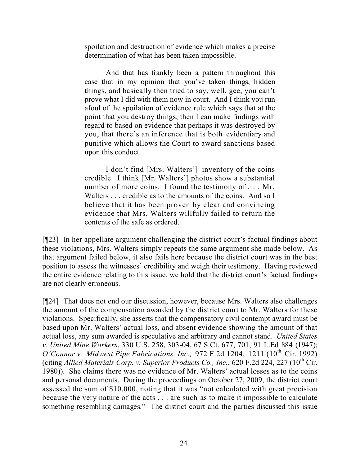spoilation and destruction of evidence which makes a precise determination of what has been taken impossible.

And that has frankly been a pattern throughout this case that in my opinion that you've taken things, hidden things, and basically then tried to say, well, gee, you can't prove what I did with them now in court. And I think you run afoul of the spoilation of evidence rule which says that at the point that you destroy things, then I can make findings with regard to based on evidence that perhaps it was destroyed by you, that there's an inference that is both evidentiary and punitive which allows the Court to award sanctions based upon this conduct.

I don't find [Mrs. Walters'] inventory of the coins credible. I think [Mr. Walters'] photos show a substantial number of more coins. I found the testimony of . . . Mr. Walters . . . credible as to the amounts of the coins. And so I believe that it has been proven by clear and convincing evidence that Mrs. Walters willfully failed to return the contents of the safe as ordered.

[¶23] In her appellate argument challenging the district court's factual findings about these violations, Mrs. Walters simply repeats the same argument she made below. As that argument failed below, it also fails here because the district court was in the best position to assess the witnesses' credibility and weigh their testimony. Having reviewed the entire evidence relating to this issue, we hold that the district court's factual findings are not clearly erroneous.

[¶24] That does not end our discussion, however, because Mrs. Walters also challenges the amount of the compensation awarded by the district court to Mr. Walters for these violations. Specifically, she asserts that the compensatory civil contempt award must be based upon Mr. Walters' actual loss, and absent evidence showing the amount of that actual loss, any sum awarded is speculative and arbitrary and cannot stand. *United States v. United Mine Workers*, 330 U.S. 258, 303-04, 67 S.Ct. 677, 701, 91 L.Ed 884 (1947); *O'Connor v. Midwest Pipe Fabrications, Inc.,* 972 F.2d 1204, 1211 (10<sup>th</sup> Cir. 1992) (citing *Allied Materials Corp. v. Superior Products Co., Inc.*, 620 F.2d 224, 227 ( $10^{th}$  Cir.) 1980)). She claims there was no evidence of Mr. Walters' actual losses as to the coins and personal documents. During the proceedings on October 27, 2009, the district court assessed the sum of \$10,000, noting that it was "not calculated with great precision because the very nature of the acts . . . are such as to make it impossible to calculate something resembling damages." The district court and the parties discussed this issue